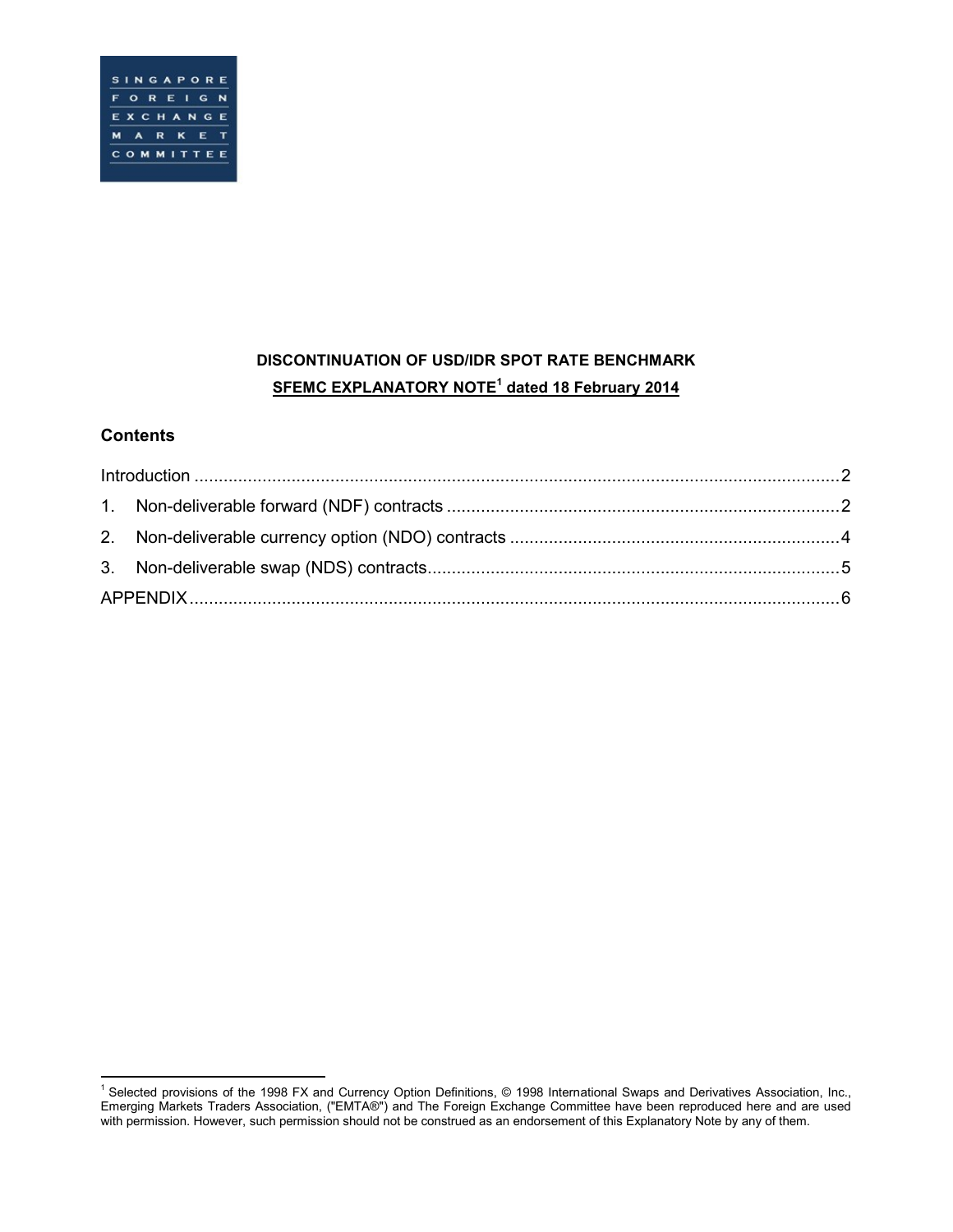# **DISCONTINUATION OF USD/IDR SPOT RATE BENCHMARK SFEMC EXPLANATORY NOTE<sup>1</sup> dated 18 February 2014**

# **Contents**

 $\overline{a}$ <sup>1</sup> Selected provisions of the 1998 FX and Currency Option Definitions, © 1998 International Swaps and Derivatives Association, Inc., Emerging Markets Traders Association, ("EMTA®") and The Foreign Exchange Committee have been reproduced here and are used with permission. However, such permission should not be construed as an endorsement of this Explanatory Note by any of them.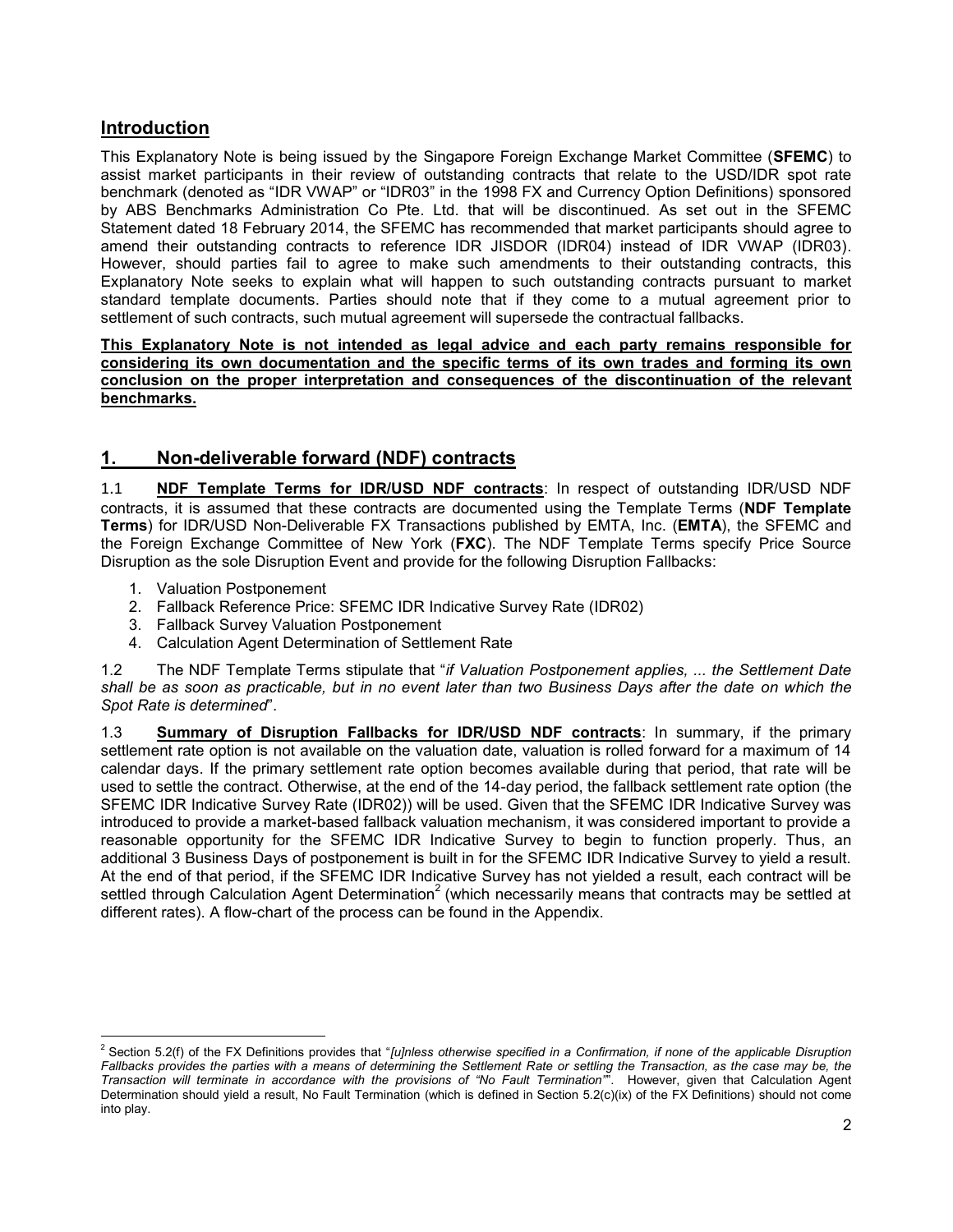### <span id="page-1-0"></span>**Introduction**

This Explanatory Note is being issued by the Singapore Foreign Exchange Market Committee (**SFEMC**) to assist market participants in their review of outstanding contracts that relate to the USD/IDR spot rate benchmark (denoted as "IDR VWAP" or "IDR03" in the 1998 FX and Currency Option Definitions) sponsored by ABS Benchmarks Administration Co Pte. Ltd. that will be discontinued. As set out in the SFEMC Statement dated 18 February 2014, the SFEMC has recommended that market participants should agree to amend their outstanding contracts to reference IDR JISDOR (IDR04) instead of IDR VWAP (IDR03). However, should parties fail to agree to make such amendments to their outstanding contracts, this Explanatory Note seeks to explain what will happen to such outstanding contracts pursuant to market standard template documents. Parties should note that if they come to a mutual agreement prior to settlement of such contracts, such mutual agreement will supersede the contractual fallbacks.

#### **This Explanatory Note is not intended as legal advice and each party remains responsible for considering its own documentation and the specific terms of its own trades and forming its own conclusion on the proper interpretation and consequences of the discontinuation of the relevant benchmarks.**

### <span id="page-1-1"></span>**1. Non-deliverable forward (NDF) contracts**

1.1 **NDF Template Terms for IDR/USD NDF contracts**: In respect of outstanding IDR/USD NDF contracts, it is assumed that these contracts are documented using the Template Terms (**NDF Template Terms**) for IDR/USD Non-Deliverable FX Transactions published by EMTA, Inc. (**EMTA**), the SFEMC and the Foreign Exchange Committee of New York (**FXC**). The NDF Template Terms specify Price Source Disruption as the sole Disruption Event and provide for the following Disruption Fallbacks:

- 1. Valuation Postponement
- 2. Fallback Reference Price: SFEMC IDR Indicative Survey Rate (IDR02)
- 3. Fallback Survey Valuation Postponement
- 4. Calculation Agent Determination of Settlement Rate

1.2 The NDF Template Terms stipulate that "*if Valuation Postponement applies, ... the Settlement Date shall be as soon as practicable, but in no event later than two Business Days after the date on which the Spot Rate is determined*".

1.3 **Summary of Disruption Fallbacks for IDR/USD NDF contracts**: In summary, if the primary settlement rate option is not available on the valuation date, valuation is rolled forward for a maximum of 14 calendar days. If the primary settlement rate option becomes available during that period, that rate will be used to settle the contract. Otherwise, at the end of the 14-day period, the fallback settlement rate option (the SFEMC IDR Indicative Survey Rate (IDR02)) will be used. Given that the SFEMC IDR Indicative Survey was introduced to provide a market-based fallback valuation mechanism, it was considered important to provide a reasonable opportunity for the SFEMC IDR Indicative Survey to begin to function properly. Thus, an additional 3 Business Days of postponement is built in for the SFEMC IDR Indicative Survey to yield a result. At the end of that period, if the SFEMC IDR Indicative Survey has not yielded a result, each contract will be settled through Calculation Agent Determination<sup>2</sup> (which necessarily means that contracts may be settled at different rates). A flow-chart of the process can be found in the Appendix.

 $\overline{a}$ <sup>2</sup> Section 5.2(f) of the FX Definitions provides that "*[u]nless otherwise specified in a Confirmation, if none of the applicable Disruption Fallbacks provides the parties with a means of determining the Settlement Rate or settling the Transaction, as the case may be, the Transaction will terminate in accordance with the provisions of "No Fault Termination"*". However, given that Calculation Agent Determination should yield a result, No Fault Termination (which is defined in Section 5.2(c)(ix) of the FX Definitions) should not come into play.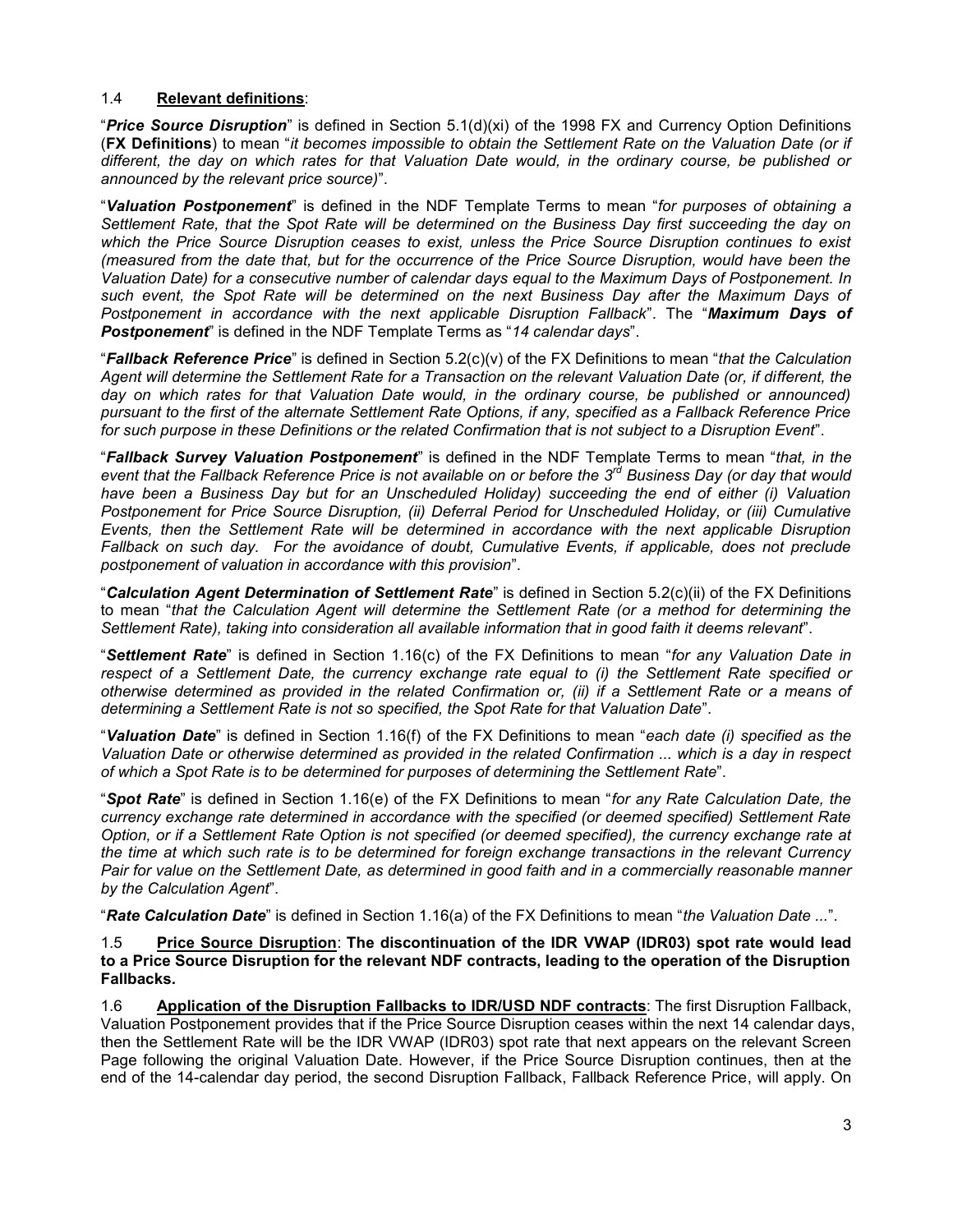#### 1.4 **Relevant definitions**:

"*Price Source Disruption*" is defined in Section 5.1(d)(xi) of the 1998 FX and Currency Option Definitions (**FX Definitions**) to mean "*it becomes impossible to obtain the Settlement Rate on the Valuation Date (or if different, the day on which rates for that Valuation Date would, in the ordinary course, be published or announced by the relevant price source)*".

"*Valuation Postponement*" is defined in the NDF Template Terms to mean "*for purposes of obtaining a Settlement Rate, that the Spot Rate will be determined on the Business Day first succeeding the day on which the Price Source Disruption ceases to exist, unless the Price Source Disruption continues to exist (measured from the date that, but for the occurrence of the Price Source Disruption, would have been the Valuation Date) for a consecutive number of calendar days equal to the Maximum Days of Postponement. In such event, the Spot Rate will be determined on the next Business Day after the Maximum Days of Postponement in accordance with the next applicable Disruption Fallback*". The "*Maximum Days of Postponement*" is defined in the NDF Template Terms as "*14 calendar days*".

"*Fallback Reference Price*" is defined in Section 5.2(c)(v) of the FX Definitions to mean "*that the Calculation Agent will determine the Settlement Rate for a Transaction on the relevant Valuation Date (or, if different, the*  day on which rates for that Valuation Date would, in the ordinary course, be published or announced) *pursuant to the first of the alternate Settlement Rate Options, if any, specified as a Fallback Reference Price for such purpose in these Definitions or the related Confirmation that is not subject to a Disruption Event*".

"*Fallback Survey Valuation Postponement*" is defined in the NDF Template Terms to mean "*that, in the*  event that the Fallback Reference Price is not available on or before the 3<sup>rd</sup> Business Day (or day that would *have been a Business Day but for an Unscheduled Holiday) succeeding the end of either (i) Valuation Postponement for Price Source Disruption, (ii) Deferral Period for Unscheduled Holiday, or (iii) Cumulative Events, then the Settlement Rate will be determined in accordance with the next applicable Disruption Fallback on such day. For the avoidance of doubt, Cumulative Events, if applicable, does not preclude postponement of valuation in accordance with this provision*".

"*Calculation Agent Determination of Settlement Rate*" is defined in Section 5.2(c)(ii) of the FX Definitions to mean "*that the Calculation Agent will determine the Settlement Rate (or a method for determining the Settlement Rate), taking into consideration all available information that in good faith it deems relevant*".

"*Settlement Rate*" is defined in Section 1.16(c) of the FX Definitions to mean "*for any Valuation Date in respect of a Settlement Date, the currency exchange rate equal to (i) the Settlement Rate specified or otherwise determined as provided in the related Confirmation or, (ii) if a Settlement Rate or a means of determining a Settlement Rate is not so specified, the Spot Rate for that Valuation Date*".

"*Valuation Date*" is defined in Section 1.16(f) of the FX Definitions to mean "*each date (i) specified as the Valuation Date or otherwise determined as provided in the related Confirmation ... which is a day in respect of which a Spot Rate is to be determined for purposes of determining the Settlement Rate*".

"*Spot Rate*" is defined in Section 1.16(e) of the FX Definitions to mean "*for any Rate Calculation Date, the currency exchange rate determined in accordance with the specified (or deemed specified) Settlement Rate Option, or if a Settlement Rate Option is not specified (or deemed specified), the currency exchange rate at the time at which such rate is to be determined for foreign exchange transactions in the relevant Currency Pair for value on the Settlement Date, as determined in good faith and in a commercially reasonable manner by the Calculation Agent*".

"*Rate Calculation Date*" is defined in Section 1.16(a) of the FX Definitions to mean "*the Valuation Date ...*".

1.5 **Price Source Disruption**: **The discontinuation of the IDR VWAP (IDR03) spot rate would lead to a Price Source Disruption for the relevant NDF contracts, leading to the operation of the Disruption Fallbacks.**

1.6 **Application of the Disruption Fallbacks to IDR/USD NDF contracts**: The first Disruption Fallback, Valuation Postponement provides that if the Price Source Disruption ceases within the next 14 calendar days, then the Settlement Rate will be the IDR VWAP (IDR03) spot rate that next appears on the relevant Screen Page following the original Valuation Date. However, if the Price Source Disruption continues, then at the end of the 14-calendar day period, the second Disruption Fallback, Fallback Reference Price, will apply. On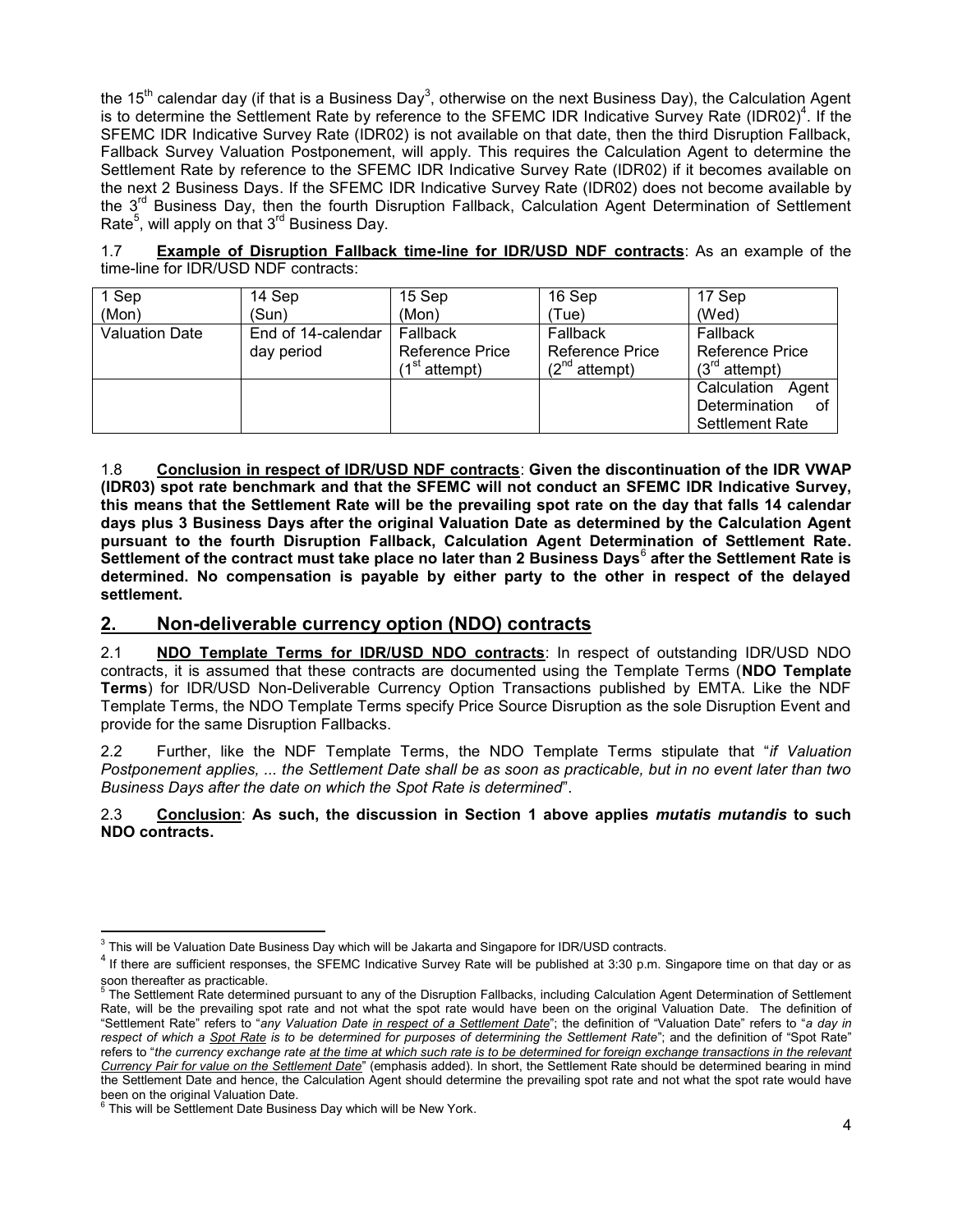the 15<sup>th</sup> calendar day (if that is a Business Day<sup>3</sup>, otherwise on the next Business Day), the Calculation Agent is to determine the Settlement Rate by reference to the SFEMC IDR Indicative Survey Rate (IDR02)<sup>4</sup>. If the SFEMC IDR Indicative Survey Rate (IDR02) is not available on that date, then the third Disruption Fallback, Fallback Survey Valuation Postponement, will apply. This requires the Calculation Agent to determine the Settlement Rate by reference to the SFEMC IDR Indicative Survey Rate (IDR02) if it becomes available on the next 2 Business Days. If the SFEMC IDR Indicative Survey Rate (IDR02) does not become available by the 3<sup>rd</sup> Business Day, then the fourth Disruption Fallback, Calculation Agent Determination of Settlement Rate<sup>5</sup>, will apply on that 3<sup>rd</sup> Business Day.

1.7 **Example of Disruption Fallback time-line for IDR/USD NDF contracts**: As an example of the time-line for IDR/USD NDF contracts:

| 1 Sep                 | 14 Sep             | 15 Sep                    | 16 Sep             | 17 Sep                 |
|-----------------------|--------------------|---------------------------|--------------------|------------------------|
| (Mon)                 | (Sun)              | (Mon)                     | 'Tue)              | (Wed)                  |
| <b>Valuation Date</b> | End of 14-calendar | Fallback                  | Fallback           | Fallback               |
|                       | day period         | Reference Price           | Reference Price    | Reference Price        |
|                       |                    | (1 <sup>st</sup> attempt) | $(2^{nd}$ attempt) | $(3^{rd}$ attempt)     |
|                       |                    |                           |                    | Calculation<br>Agent   |
|                       |                    |                           |                    | Determination<br>οf    |
|                       |                    |                           |                    | <b>Settlement Rate</b> |

1.8 **Conclusion in respect of IDR/USD NDF contracts**: **Given the discontinuation of the IDR VWAP (IDR03) spot rate benchmark and that the SFEMC will not conduct an SFEMC IDR Indicative Survey, this means that the Settlement Rate will be the prevailing spot rate on the day that falls 14 calendar days plus 3 Business Days after the original Valuation Date as determined by the Calculation Agent pursuant to the fourth Disruption Fallback, Calculation Agent Determination of Settlement Rate.**  .<br>Settlement of the contract must take place no later than 2 Business Days<sup>6</sup> after the Settlement Rate is **determined. No compensation is payable by either party to the other in respect of the delayed settlement.**

#### <span id="page-3-0"></span>**2. Non-deliverable currency option (NDO) contracts**

2.1 **NDO Template Terms for IDR/USD NDO contracts**: In respect of outstanding IDR/USD NDO contracts, it is assumed that these contracts are documented using the Template Terms (**NDO Template Terms**) for IDR/USD Non-Deliverable Currency Option Transactions published by EMTA. Like the NDF Template Terms, the NDO Template Terms specify Price Source Disruption as the sole Disruption Event and provide for the same Disruption Fallbacks.

2.2 Further, like the NDF Template Terms, the NDO Template Terms stipulate that "*if Valuation Postponement applies, ... the Settlement Date shall be as soon as practicable, but in no event later than two Business Days after the date on which the Spot Rate is determined*".

2.3 **Conclusion**: **As such, the discussion in Section 1 above applies** *mutatis mutandis* **to such NDO contracts.**

 $\overline{a}$  $3$  This will be Valuation Date Business Day which will be Jakarta and Singapore for IDR/USD contracts.

<sup>&</sup>lt;sup>4</sup> If there are sufficient responses, the SFEMC Indicative Survey Rate will be published at 3:30 p.m. Singapore time on that day or as

soon thereafter as practicable.<br><sup>5</sup> The Settlement Rate determined pursuant to any of the Disruption Fallbacks, including Calculation Agent Determination of Settlement Rate, will be the prevailing spot rate and not what the spot rate would have been on the original Valuation Date. The definition of "Settlement Rate" refers to "*any Valuation Date in respect of a Settlement Date*"; the definition of "Valuation Date" refers to "*a day in respect of which a Spot Rate is to be determined for purposes of determining the Settlement Rate*"; and the definition of "Spot Rate" refers to "*the currency exchange rate at the time at which such rate is to be determined for foreign exchange transactions in the relevant Currency Pair for value on the Settlement Date*" (emphasis added). In short, the Settlement Rate should be determined bearing in mind the Settlement Date and hence, the Calculation Agent should determine the prevailing spot rate and not what the spot rate would have been on the original Valuation Date.<br><sup>6</sup> This will be Sottlement Date Busing

This will be Settlement Date Business Day which will be New York.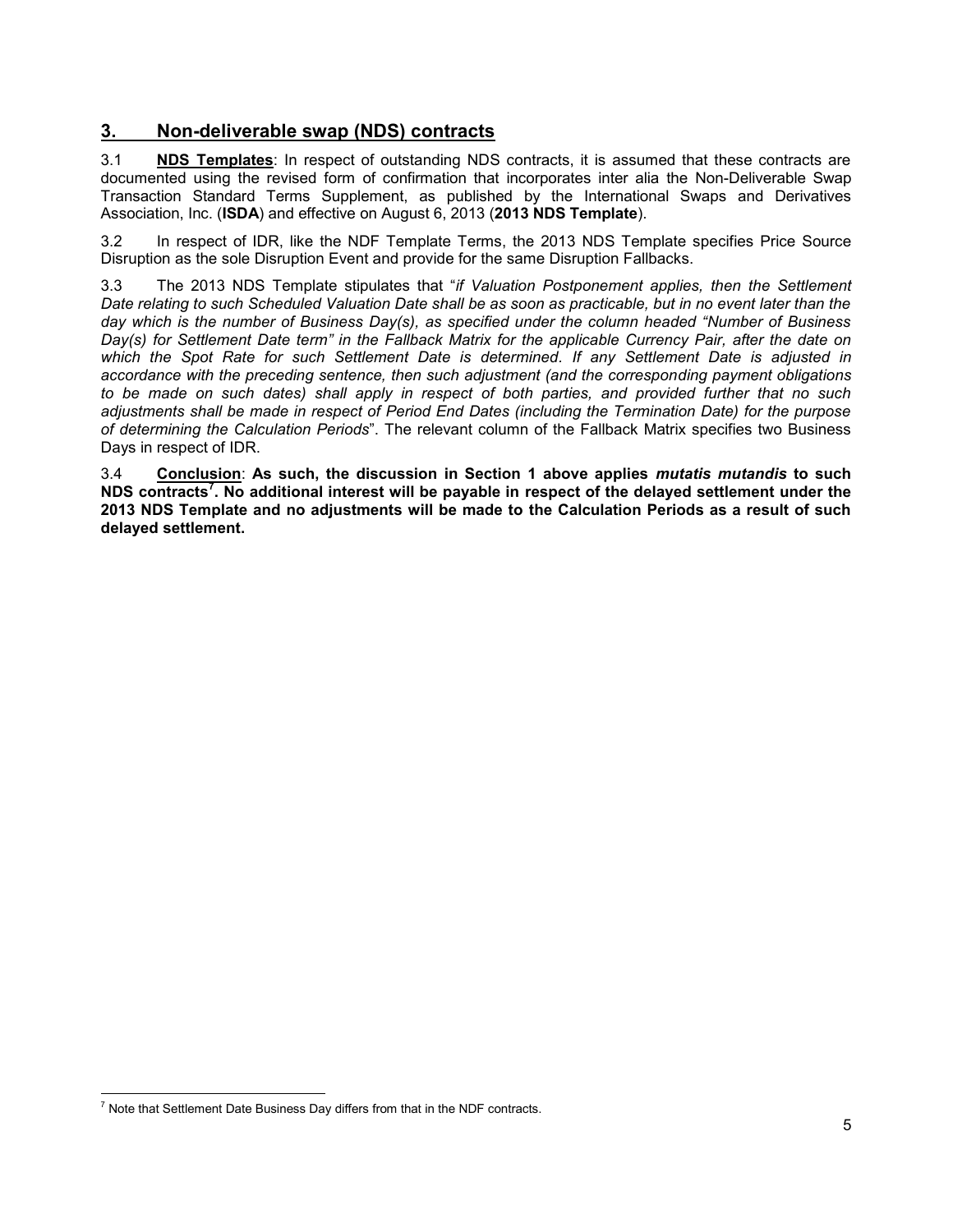## <span id="page-4-0"></span>**3. Non-deliverable swap (NDS) contracts**

3.1 **NDS Templates**: In respect of outstanding NDS contracts, it is assumed that these contracts are documented using the revised form of confirmation that incorporates inter alia the Non-Deliverable Swap Transaction Standard Terms Supplement, as published by the International Swaps and Derivatives Association, Inc. (**ISDA**) and effective on August 6, 2013 (**2013 NDS Template**).

3.2 In respect of IDR, like the NDF Template Terms, the 2013 NDS Template specifies Price Source Disruption as the sole Disruption Event and provide for the same Disruption Fallbacks.

3.3 The 2013 NDS Template stipulates that "*if Valuation Postponement applies, then the Settlement Date relating to such Scheduled Valuation Date shall be as soon as practicable, but in no event later than the day which is the number of Business Day(s), as specified under the column headed "Number of Business Day(s) for Settlement Date term" in the Fallback Matrix for the applicable Currency Pair, after the date on which the Spot Rate for such Settlement Date is determined. If any Settlement Date is adjusted in accordance with the preceding sentence, then such adjustment (and the corresponding payment obligations to be made on such dates) shall apply in respect of both parties, and provided further that no such adjustments shall be made in respect of Period End Dates (including the Termination Date) for the purpose of determining the Calculation Periods*". The relevant column of the Fallback Matrix specifies two Business Days in respect of IDR.

3.4 **Conclusion**: **As such, the discussion in Section 1 above applies** *mutatis mutandis* **to such NDS contracts<sup>7</sup> . No additional interest will be payable in respect of the delayed settlement under the 2013 NDS Template and no adjustments will be made to the Calculation Periods as a result of such delayed settlement.**

 $\overline{a}$ 

 $<sup>7</sup>$  Note that Settlement Date Business Day differs from that in the NDF contracts.</sup>